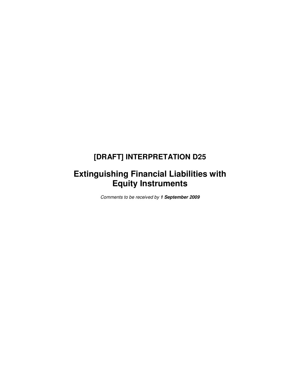# **[DRAFT] INTERPRETATION D25**

# **Extinguishing Financial Liabilities with Equity Instruments**

Comments to be received by **1 September 2009**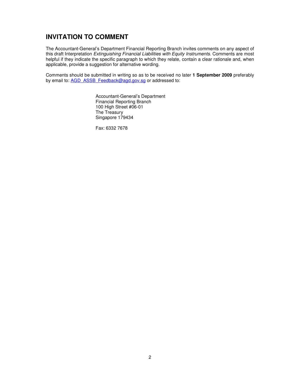### **INVITATION TO COMMENT**

The Accountant-General's Department Financial Reporting Branch invites comments on any aspect of this draft Interpretation Extinguishing Financial Liabilities with Equity Instruments. Comments are most helpful if they indicate the specific paragraph to which they relate, contain a clear rationale and, when applicable, provide a suggestion for alternative wording.

Comments should be submitted in writing so as to be received no later **1 September 2009** preferably by email to: AGD\_ASSB\_Feedback@agd.gov.sg or addressed to:

> Accountant-General's Department Financial Reporting Branch 100 High Street #06-01 The Treasury Singapore 179434

Fax: 6332 7678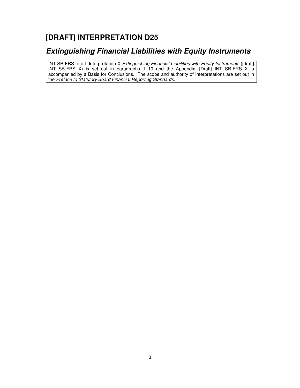# **[DRAFT] INTERPRETATION D25**

## **Extinguishing Financial Liabilities with Equity Instruments**

INT SB-FRS [draft] Interpretation X Extinguishing Financial Liabilities with Equity Instruments ([draft] INT SB-FRS X) is set out in paragraphs 1–10 and the Appendix. [Draft] INT SB-FRS X is accompanied by a Basis for Conclusions. The scope and authority of Interpretations are set out in the Preface to Statutory Board Financial Reporting Standards.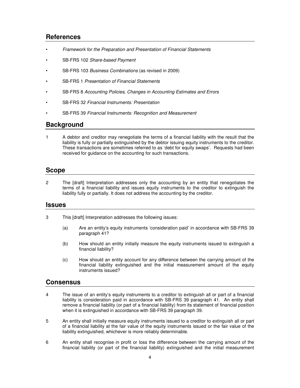### **References**

- Framework for the Preparation and Presentation of Financial Statements
- SB-FRS 102 Share-based Payment
- SB-FRS 103 *Business Combinations* (as revised in 2009)
- SB-FRS 1 Presentation of Financial Statements
- SB-FRS 8 Accounting Policies, Changes in Accounting Estimates and Errors
- SB-FRS 32 Financial Instruments: Presentation
- SB-FRS 39 Financial Instruments: Recognition and Measurement

### **Background**

1 A debtor and creditor may renegotiate the terms of a financial liability with the result that the liability is fully or partially extinguished by the debtor issuing equity instruments to the creditor. These transactions are sometimes referred to as 'debt for equity swaps'. Requests had been received for guidance on the accounting for such transactions.

### **Scope**

2 The [draft] Interpretation addresses only the accounting by an entity that renegotiates the terms of a financial liability and issues equity instruments to the creditor to extinguish the liability fully or partially. It does not address the accounting by the creditor.

### **Issues**

- 3 This [draft] Interpretation addresses the following issues:
	- (a) Are an entity's equity instruments 'consideration paid' in accordance with SB-FRS 39 paragraph 41?
	- (b) How should an entity initially measure the equity instruments issued to extinguish a financial liability?
	- (c) How should an entity account for any difference between the carrying amount of the financial liability extinguished and the initial measurement amount of the equity instruments issued?

### **Consensus**

- 4 The issue of an entity's equity instruments to a creditor to extinguish all or part of a financial liability is consideration paid in accordance with SB-FRS 39 paragraph 41. An entity shall remove a financial liability (or part of a financial liability) from its statement of financial position when it is extinguished in accordance with SB-FRS 39 paragraph 39.
- 5 An entity shall initially measure equity instruments issued to a creditor to extinguish all or part of a financial liability at the fair value of the equity instruments issued or the fair value of the liability extinguished, whichever is more reliably determinable.
- 6 An entity shall recognise in profit or loss the difference between the carrying amount of the financial liability (or part of the financial liability) extinguished and the initial measurement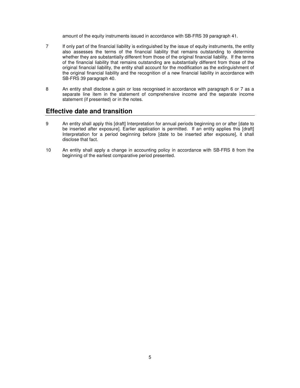amount of the equity instruments issued in accordance with SB-FRS 39 paragraph 41.

- 7 If only part of the financial liability is extinguished by the issue of equity instruments, the entity also assesses the terms of the financial liability that remains outstanding to determine whether they are substantially different from those of the original financial liability. If the terms of the financial liability that remains outstanding are substantially different from those of the original financial liability, the entity shall account for the modification as the extinguishment of the original financial liability and the recognition of a new financial liability in accordance with SB-FRS 39 paragraph 40.
- 8 An entity shall disclose a gain or loss recognised in accordance with paragraph 6 or 7 as a separate line item in the statement of comprehensive income and the separate income statement (if presented) or in the notes.

### **Effective date and transition**

- 9 An entity shall apply this [draft] Interpretation for annual periods beginning on or after [date to be inserted after exposure]. Earlier application is permitted. If an entity applies this [draft] Interpretation for a period beginning before [date to be inserted after exposure], it shall disclose that fact.
- 10 An entity shall apply a change in accounting policy in accordance with SB-FRS 8 from the beginning of the earliest comparative period presented.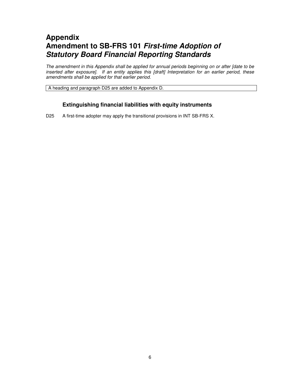## **Appendix Amendment to SB-FRS 101 First-time Adoption of Statutory Board Financial Reporting Standards**

The amendment in this Appendix shall be applied for annual periods beginning on or after [date to be inserted after exposure]. If an entity applies this [draft] Interpretation for an earlier period, these amendments shall be applied for that earlier period.

A heading and paragraph D25 are added to Appendix D.

### **Extinguishing financial liabilities with equity instruments**

D25 A first-time adopter may apply the transitional provisions in INT SB-FRS X.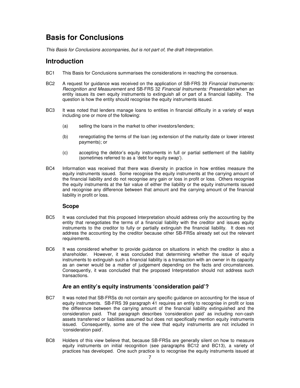## **Basis for Conclusions**

This Basis for Conclusions accompanies, but is not part of, the draft Interpretation.

### **Introduction**

- BC1 This Basis for Conclusions summarises the considerations in reaching the consensus.
- BC2 A request for guidance was received on the application of SB-FRS 39 Financial Instruments: Recognition and Measurement and SB-FRS 32 Financial Instruments: Presentation when an entity issues its own equity instruments to extinguish all or part of a financial liability. The question is how the entity should recognise the equity instruments issued.
- BC3 It was noted that lenders manage loans to entities in financial difficulty in a variety of ways including one or more of the following:
	- (a) selling the loans in the market to other investors/lenders;
	- (b) renegotiating the terms of the loan (eg extension of the maturity date or lower interest payments); or
	- (c) accepting the debtor's equity instruments in full or partial settlement of the liability (sometimes referred to as a 'debt for equity swap').
- BC4 Information was received that there was diversity in practice in how entities measure the equity instruments issued. Some recognise the equity instruments at the carrying amount of the financial liability and do not recognise any gain or loss in profit or loss. Others recognise the equity instruments at the fair value of either the liability or the equity instruments issued and recognise any difference between that amount and the carrying amount of the financial liability in profit or loss.

### **Scope**

- BC5 It was concluded that this proposed Interpretation should address only the accounting by the entity that renegotiates the terms of a financial liability with the creditor and issues equity instruments to the creditor to fully or partially extinguish the financial liability. It does not address the accounting by the creditor because other SB-FRSs already set out the relevant requirements.
- BC6 It was considered whether to provide guidance on situations in which the creditor is also a shareholder. However, it was concluded that determining whether the issue of equity instruments to extinguish such a financial liability is a transaction with an owner in its capacity as an owner would be a matter of judgement depending on the facts and circumstances. Consequently, it was concluded that the proposed Interpretation should not address such transactions.

### **Are an entity's equity instruments 'consideration paid'?**

- BC7 It was noted that SB-FRSs do not contain any specific guidance on accounting for the issue of equity instruments. SB-FRS 39 paragraph 41 requires an entity to recognise in profit or loss the difference between the carrying amount of the financial liability extinguished and the consideration paid. That paragraph describes 'consideration paid' as including non-cash assets transferred or liabilities assumed but does not specifically mention equity instruments issued. Consequently, some are of the view that equity instruments are not included in 'consideration paid'.
- BC8 Holders of this view believe that, because SB-FRSs are generally silent on how to measure equity instruments on initial recognition (see paragraphs BC12 and BC13), a variety of practices has developed. One such practice is to recognise the equity instruments issued at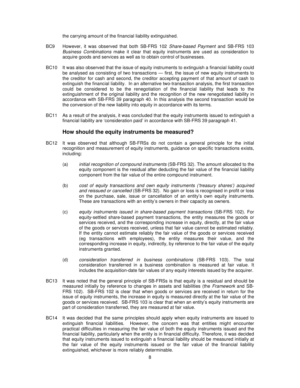the carrying amount of the financial liability extinguished.

- BC9 However, it was observed that both SB-FRS 102 Share-based Payment and SB-FRS 103 Business Combinations make it clear that equity instruments are used as consideration to acquire goods and services as well as to obtain control of businesses.
- BC10 It was also observed that the issue of equity instruments to extinguish a financial liability could be analysed as consisting of two transactions — first, the issue of new equity instruments to the creditor for cash and second, the creditor accepting payment of that amount of cash to extinguish the financial liability. In an alternative two-transaction analysis, the first transaction could be considered to be the renegotiation of the financial liability that leads to the extinguishment of the original liability and the recognition of the new renegotiated liability in accordance with SB-FRS 39 paragraph 40. In this analysis the second transaction would be the conversion of the new liability into equity in accordance with its terms.
- BC11 As a result of the analysis, it was concluded that the equity instruments issued to extinguish a financial liability are 'consideration paid' in accordance with SB-FRS 39 paragraph 41.

#### **How should the equity instruments be measured?**

- BC12 It was observed that although SB-FRSs do not contain a general principle for the initial recognition and measurement of equity instruments, guidance on specific transactions exists, including:
	- (a) initial recognition of compound instruments (SB-FRS 32). The amount allocated to the equity component is the residual after deducting the fair value of the financial liability component from the fair value of the entire compound instrument.
	- (b) cost of equity transactions and own equity instruments ('treasury shares') acquired and reissued or cancelled (SB-FRS 32). No gain or loss is recognised in profit or loss on the purchase, sale, issue or cancellation of an entity's own equity instruments. These are transactions with an entity's owners in their capacity as owners.
	- (c) equity instruments issued in share-based payment transactions (SB-FRS 102). For equity-settled share-based payment transactions, the entity measures the goods or services received, and the corresponding increase in equity, directly, at the fair value of the goods or services received, unless that fair value cannot be estimated reliably. If the entity cannot estimate reliably the fair value of the goods or services received (eg transactions with employees), the entity measures their value, and the corresponding increase in equity, indirectly, by reference to the fair value of the equity instruments granted.
	- (d) consideration transferred in business combinations (SB-FRS 103). The total consideration transferred in a business combination is measured at fair value. It includes the acquisition-date fair values of any equity interests issued by the acquirer.
- BC13 It was noted that the general principle of SB-FRSs is that equity is a residual and should be measured initially by reference to changes in assets and liabilities (the Framework and SB-FRS 102). SB-FRS 102 is clear that when goods or services are received in return for the issue of equity instruments, the increase in equity is measured directly at the fair value of the goods or services received. SB-FRS 103 is clear that when an entity's equity instruments are part of consideration transferred, they are measured at fair value.
- BC14 It was decided that the same principles should apply when equity instruments are issued to extinguish financial liabilities. However, the concern was that entities might encounter practical difficulties in measuring the fair value of both the equity instruments issued and the financial liability, particularly when the entity is in financial difficulty. Therefore, it was decided that equity instruments issued to extinguish a financial liability should be measured initially at the fair value of the equity instruments issued or the fair value of the financial liability extinguished, whichever is more reliably determinable.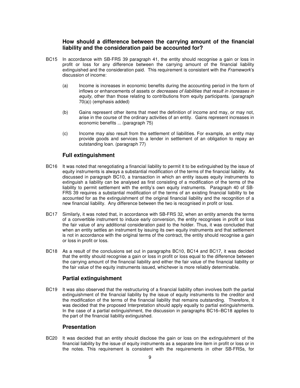### **How should a difference between the carrying amount of the financial liability and the consideration paid be accounted for?**

- BC15 In accordance with SB-FRS 39 paragraph 41, the entity should recognise a gain or loss in profit or loss for any difference between the carrying amount of the financial liability extinguished and the consideration paid. This requirement is consistent with the Framework's discussion of income:
	- (a) Income is increases in economic benefits during the accounting period in the form of inflows or enhancements of assets or decreases of liabilities that result in increases in equity, other than those relating to contributions from equity participants. (paragraph 70(a)) (emphasis added)
	- (b) Gains represent other items that meet the definition of income and may, or may not, arise in the course of the ordinary activities of an entity. Gains represent increases in economic benefits ... (paragraph 75)
	- (c) Income may also result from the settlement of liabilities. For example, an entity may provide goods and services to a lender in settlement of an obligation to repay an outstanding loan. (paragraph 77)

### **Full extinguishment**

- BC16 It was noted that renegotiating a financial liability to permit it to be extinguished by the issue of equity instruments is always a substantial modification of the terms of the financial liability. As discussed in paragraph BC10, a transaction in which an entity issues equity instruments to extinguish a liability can be analysed as first consisting of a modification of the terms of the liability to permit settlement with the entity's own equity instruments. Paragraph 40 of SB-FRS 39 requires a substantial modification of the terms of an existing financial liability to be accounted for as the extinguishment of the original financial liability and the recognition of a new financial liability. Any difference between the two is recognised in profit or loss.
- BC17 Similarly, it was noted that, in accordance with SB-FRS 32, when an entity amends the terms of a convertible instrument to induce early conversion, the entity recognises in profit or loss the fair value of any additional consideration paid to the holder. Thus, it was concluded that when an entity settles an instrument by issuing its own equity instruments and that settlement is not in accordance with the original terms of the contract, the entity should recognise a gain or loss in profit or loss.
- BC18 As a result of the conclusions set out in paragraphs BC10, BC14 and BC17, it was decided that the entity should recognise a gain or loss in profit or loss equal to the difference between the carrying amount of the financial liability and either the fair value of the financial liability or the fair value of the equity instruments issued, whichever is more reliably determinable.

### **Partial extinguishment**

BC19 It was also observed that the restructuring of a financial liability often involves both the partial extinguishment of the financial liability by the issue of equity instruments to the creditor and the modification of the terms of the financial liability that remains outstanding. Therefore, it was decided that the proposed Interpretation should apply equally to partial extinguishments. In the case of a partial extinguishment, the discussion in paragraphs BC16–BC18 applies to the part of the financial liability extinguished.

### **Presentation**

BC20 It was decided that an entity should disclose the gain or loss on the extinguishment of the financial liability by the issue of equity instruments as a separate line item in profit or loss or in the notes. This requirement is consistent with the requirements in other SB-FRSs, for